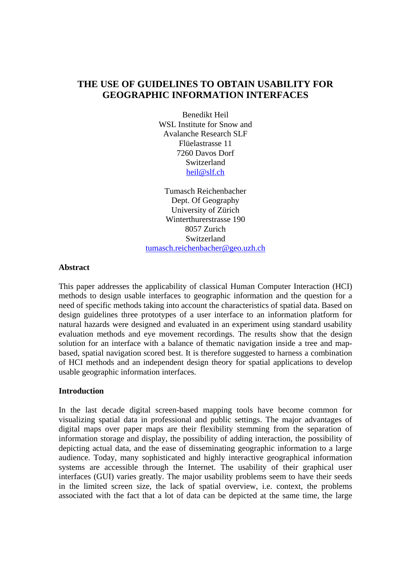# **THE USE OF GUIDELINES TO OBTAIN USABILITY FOR GEOGRAPHIC INFORMATION INTERFACES**

Benedikt Heil WSL Institute for Snow and Avalanche Research SLF Flüelastrasse 11 7260 Davos Dorf Switzerland heil@slf.ch

Tumasch Reichenbacher Dept. Of Geography University of Zürich Winterthurerstrasse 190 8057 Zurich Switzerland tumasch.reichenbacher@geo.uzh.ch

#### **Abstract**

This paper addresses the applicability of classical Human Computer Interaction (HCI) methods to design usable interfaces to geographic information and the question for a need of specific methods taking into account the characteristics of spatial data. Based on design guidelines three prototypes of a user interface to an information platform for natural hazards were designed and evaluated in an experiment using standard usability evaluation methods and eye movement recordings. The results show that the design solution for an interface with a balance of thematic navigation inside a tree and mapbased, spatial navigation scored best. It is therefore suggested to harness a combination of HCI methods and an independent design theory for spatial applications to develop usable geographic information interfaces.

#### **Introduction**

In the last decade digital screen-based mapping tools have become common for visualizing spatial data in professional and public settings. The major advantages of digital maps over paper maps are their flexibility stemming from the separation of information storage and display, the possibility of adding interaction, the possibility of depicting actual data, and the ease of disseminating geographic information to a large audience. Today, many sophisticated and highly interactive geographical information systems are accessible through the Internet. The usability of their graphical user interfaces (GUI) varies greatly. The major usability problems seem to have their seeds in the limited screen size, the lack of spatial overview, i.e. context, the problems associated with the fact that a lot of data can be depicted at the same time, the large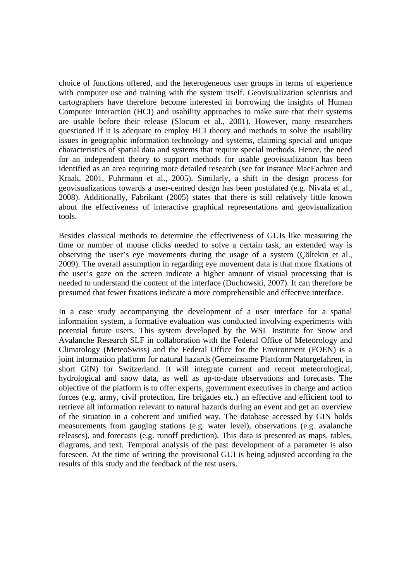choice of functions offered, and the heterogeneous user groups in terms of experience with computer use and training with the system itself. Geovisualization scientists and cartographers have therefore become interested in borrowing the insights of Human Computer Interaction (HCI) and usability approaches to make sure that their systems are usable before their release (Slocum et al., 2001). However, many researchers questioned if it is adequate to employ HCI theory and methods to solve the usability issues in geographic information technology and systems, claiming special and unique characteristics of spatial data and systems that require special methods. Hence, the need for an independent theory to support methods for usable geovisualization has been identified as an area requiring more detailed research (see for instance MacEachren and Kraak, 2001, Fuhrmann et al., 2005). Similarly, a shift in the design process for geovisualizations towards a user-centred design has been postulated (e.g. Nivala et al., 2008). Additionally, Fabrikant (2005) states that there is still relatively little known about the effectiveness of interactive graphical representations and geovisualization tools.

Besides classical methods to determine the effectiveness of GUIs like measuring the time or number of mouse clicks needed to solve a certain task, an extended way is observing the user's eye movements during the usage of a system (Çöltekin et al., 2009). The overall assumption in regarding eye movement data is that more fixations of the user's gaze on the screen indicate a higher amount of visual processing that is needed to understand the content of the interface (Duchowski, 2007). It can therefore be presumed that fewer fixations indicate a more comprehensible and effective interface.

In a case study accompanying the development of a user interface for a spatial information system, a formative evaluation was conducted involving experiments with potential future users. This system developed by the WSL Institute for Snow and Avalanche Research SLF in collaboration with the Federal Office of Meteorology and Climatology (MeteoSwiss) and the Federal Office for the Environment (FOEN) is a joint information platform for natural hazards (Gemeinsame Plattform Naturgefahren, in short GIN) for Switzerland. It will integrate current and recent meteorological, hydrological and snow data, as well as up-to-date observations and forecasts. The objective of the platform is to offer experts, government executives in charge and action forces (e.g. army, civil protection, fire brigades etc.) an effective and efficient tool to retrieve all information relevant to natural hazards during an event and get an overview of the situation in a coherent and unified way. The database accessed by GIN holds measurements from gauging stations (e.g. water level), observations (e.g. avalanche releases), and forecasts (e.g. runoff prediction). This data is presented as maps, tables, diagrams, and text. Temporal analysis of the past development of a parameter is also foreseen. At the time of writing the provisional GUI is being adjusted according to the results of this study and the feedback of the test users.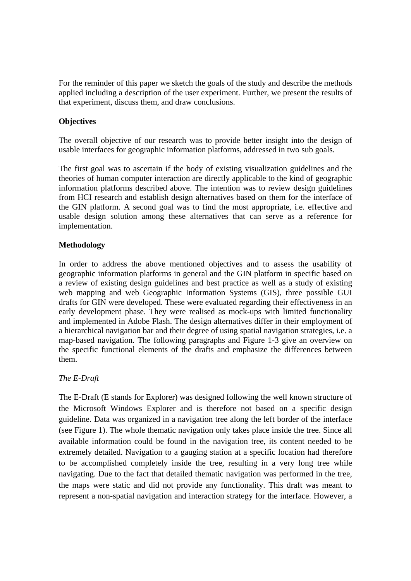For the reminder of this paper we sketch the goals of the study and describe the methods applied including a description of the user experiment. Further, we present the results of that experiment, discuss them, and draw conclusions.

## **Objectives**

The overall objective of our research was to provide better insight into the design of usable interfaces for geographic information platforms, addressed in two sub goals.

The first goal was to ascertain if the body of existing visualization guidelines and the theories of human computer interaction are directly applicable to the kind of geographic information platforms described above. The intention was to review design guidelines from HCI research and establish design alternatives based on them for the interface of the GIN platform. A second goal was to find the most appropriate, i.e. effective and usable design solution among these alternatives that can serve as a reference for implementation.

## **Methodology**

In order to address the above mentioned objectives and to assess the usability of geographic information platforms in general and the GIN platform in specific based on a review of existing design guidelines and best practice as well as a study of existing web mapping and web Geographic Information Systems (GIS), three possible GUI drafts for GIN were developed. These were evaluated regarding their effectiveness in an early development phase. They were realised as mock-ups with limited functionality and implemented in Adobe Flash. The design alternatives differ in their employment of a hierarchical navigation bar and their degree of using spatial navigation strategies, i.e. a map-based navigation. The following paragraphs and Figure 1-3 give an overview on the specific functional elements of the drafts and emphasize the differences between them.

## *The E-Draft*

The E-Draft (E stands for Explorer) was designed following the well known structure of the Microsoft Windows Explorer and is therefore not based on a specific design guideline. Data was organized in a navigation tree along the left border of the interface (see Figure 1). The whole thematic navigation only takes place inside the tree. Since all available information could be found in the navigation tree, its content needed to be extremely detailed. Navigation to a gauging station at a specific location had therefore to be accomplished completely inside the tree, resulting in a very long tree while navigating. Due to the fact that detailed thematic navigation was performed in the tree, the maps were static and did not provide any functionality. This draft was meant to represent a non-spatial navigation and interaction strategy for the interface. However, a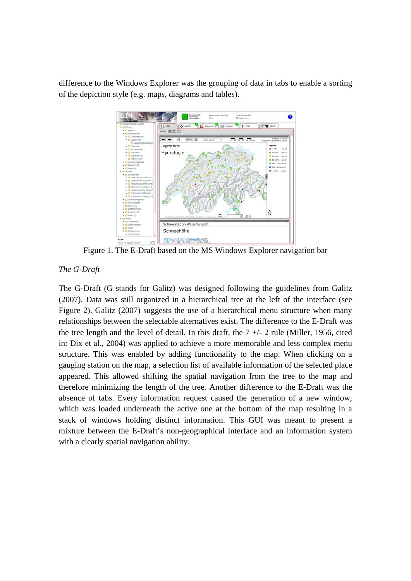difference to the Windows Explorer was the grouping of data in tabs to enable a sorting of the depiction style (e.g. maps, diagrams and tables).



Figure 1. The E-Draft based on the MS Windows Explorer navigation bar

### *The G-Draft*

The G-Draft (G stands for Galitz) was designed following the guidelines from Galitz (2007). Data was still organized in a hierarchical tree at the left of the interface (see Figure 2). Galitz (2007) suggests the use of a hierarchical menu structure when many relationships between the selectable alternatives exist. The difference to the E-Draft was the tree length and the level of detail. In this draft, the  $7 +/- 2$  rule (Miller, 1956, cited in: Dix et al., 2004) was applied to achieve a more memorable and less complex menu structure. This was enabled by adding functionality to the map. When clicking on a gauging station on the map, a selection list of available information of the selected place appeared. This allowed shifting the spatial navigation from the tree to the map and therefore minimizing the length of the tree. Another difference to the E-Draft was the absence of tabs. Every information request caused the generation of a new window, which was loaded underneath the active one at the bottom of the map resulting in a stack of windows holding distinct information. This GUI was meant to present a mixture between the E-Draft's non-geographical interface and an information system with a clearly spatial navigation ability.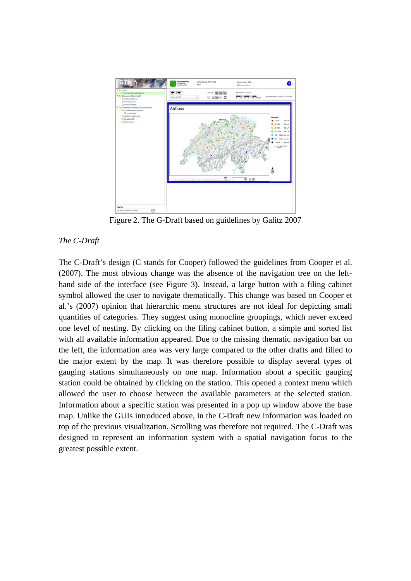

Figure 2. The G-Draft based on guidelines by Galitz 2007

## *The C-Draft*

The C-Draft's design (C stands for Cooper) followed the guidelines from Cooper et al. (2007). The most obvious change was the absence of the navigation tree on the lefthand side of the interface (see Figure 3). Instead, a large button with a filing cabinet symbol allowed the user to navigate thematically. This change was based on Cooper et al.'s (2007) opinion that hierarchic menu structures are not ideal for depicting small quantities of categories. They suggest using monocline groupings, which never exceed one level of nesting. By clicking on the filing cabinet button, a simple and sorted list with all available information appeared. Due to the missing thematic navigation bar on the left, the information area was very large compared to the other drafts and filled to the major extent by the map. It was therefore possible to display several types of gauging stations simultaneously on one map. Information about a specific gauging station could be obtained by clicking on the station. This opened a context menu which allowed the user to choose between the available parameters at the selected station. Information about a specific station was presented in a pop up window above the base map. Unlike the GUIs introduced above, in the C-Draft new information was loaded on top of the previous visualization. Scrolling was therefore not required. The C-Draft was designed to represent an information system with a spatial navigation focus to the greatest possible extent.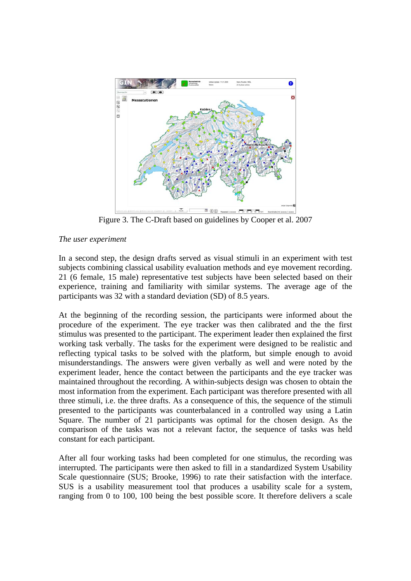

Figure 3. The C-Draft based on guidelines by Cooper et al. 2007

## *The user experiment*

In a second step, the design drafts served as visual stimuli in an experiment with test subjects combining classical usability evaluation methods and eye movement recording. 21 (6 female, 15 male) representative test subjects have been selected based on their experience, training and familiarity with similar systems. The average age of the participants was 32 with a standard deviation (SD) of 8.5 years.

At the beginning of the recording session, the participants were informed about the procedure of the experiment. The eye tracker was then calibrated and the the first stimulus was presented to the participant. The experiment leader then explained the first working task verbally. The tasks for the experiment were designed to be realistic and reflecting typical tasks to be solved with the platform, but simple enough to avoid misunderstandings. The answers were given verbally as well and were noted by the experiment leader, hence the contact between the participants and the eye tracker was maintained throughout the recording. A within-subjects design was chosen to obtain the most information from the experiment. Each participant was therefore presented with all three stimuli, i.e. the three drafts. As a consequence of this, the sequence of the stimuli presented to the participants was counterbalanced in a controlled way using a Latin Square. The number of 21 participants was optimal for the chosen design. As the comparison of the tasks was not a relevant factor, the sequence of tasks was held constant for each participant.

After all four working tasks had been completed for one stimulus, the recording was interrupted. The participants were then asked to fill in a standardized System Usability Scale questionnaire (SUS; Brooke, 1996) to rate their satisfaction with the interface. SUS is a usability measurement tool that produces a usability scale for a system, ranging from 0 to 100, 100 being the best possible score. It therefore delivers a scale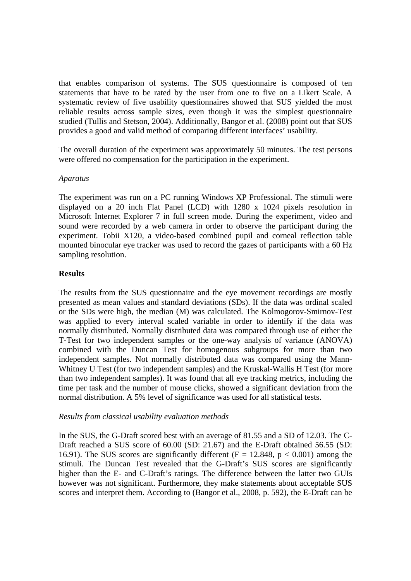that enables comparison of systems. The SUS questionnaire is composed of ten statements that have to be rated by the user from one to five on a Likert Scale. A systematic review of five usability questionnaires showed that SUS yielded the most reliable results across sample sizes, even though it was the simplest questionnaire studied (Tullis and Stetson, 2004). Additionally, Bangor et al. (2008) point out that SUS provides a good and valid method of comparing different interfaces' usability.

The overall duration of the experiment was approximately 50 minutes. The test persons were offered no compensation for the participation in the experiment.

#### *Aparatus*

The experiment was run on a PC running Windows XP Professional. The stimuli were displayed on a 20 inch Flat Panel (LCD) with 1280 x 1024 pixels resolution in Microsoft Internet Explorer 7 in full screen mode. During the experiment, video and sound were recorded by a web camera in order to observe the participant during the experiment. Tobii X120, a video-based combined pupil and corneal reflection table mounted binocular eye tracker was used to record the gazes of participants with a 60 Hz sampling resolution.

## **Results**

The results from the SUS questionnaire and the eye movement recordings are mostly presented as mean values and standard deviations (SDs). If the data was ordinal scaled or the SDs were high, the median (M) was calculated. The Kolmogorov-Smirnov-Test was applied to every interval scaled variable in order to identify if the data was normally distributed. Normally distributed data was compared through use of either the T-Test for two independent samples or the one-way analysis of variance (ANOVA) combined with the Duncan Test for homogenous subgroups for more than two independent samples. Not normally distributed data was compared using the Mann-Whitney U Test (for two independent samples) and the Kruskal-Wallis H Test (for more than two independent samples). It was found that all eye tracking metrics, including the time per task and the number of mouse clicks, showed a significant deviation from the normal distribution. A 5% level of significance was used for all statistical tests.

#### *Results from classical usability evaluation methods*

In the SUS, the G-Draft scored best with an average of 81.55 and a SD of 12.03. The C-Draft reached a SUS score of 60.00 (SD: 21.67) and the E-Draft obtained 56.55 (SD: 16.91). The SUS scores are significantly different ( $F = 12.848$ ,  $p < 0.001$ ) among the stimuli. The Duncan Test revealed that the G-Draft's SUS scores are significantly higher than the E- and C-Draft's ratings. The difference between the latter two GUIs however was not significant. Furthermore, they make statements about acceptable SUS scores and interpret them. According to (Bangor et al., 2008, p. 592), the E-Draft can be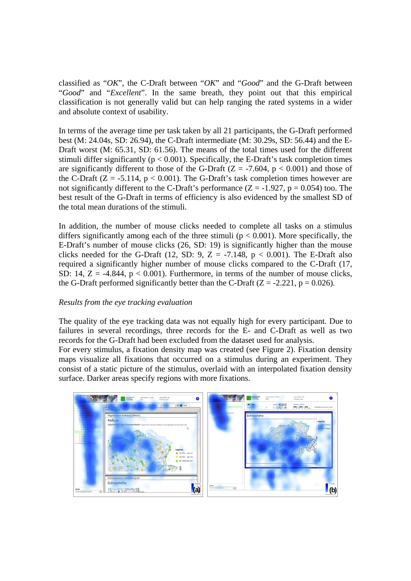classified as "*OK*", the C-Draft between "*OK*" and "*Good*" and the G-Draft between "*Good*" and "*Excellent*". In the same breath, they point out that this empirical classification is not generally valid but can help ranging the rated systems in a wider and absolute context of usability.

In terms of the average time per task taken by all 21 participants, the G-Draft performed best (M: 24.04s, SD: 26.94), the C-Draft intermediate (M: 30.29s, SD: 56.44) and the E-Draft worst (M: 65.31, SD: 61.56). The means of the total times used for the different stimuli differ significantly ( $p < 0.001$ ). Specifically, the E-Draft's task completion times are significantly different to those of the G-Draft ( $Z = -7.604$ ,  $p < 0.001$ ) and those of the C-Draft  $(Z = -5.114, p < 0.001)$ . The G-Draft's task completion times however are not significantly different to the C-Draft's performance  $(Z = -1.927, p = 0.054)$  too. The best result of the G-Draft in terms of efficiency is also evidenced by the smallest SD of the total mean durations of the stimuli.

In addition, the number of mouse clicks needed to complete all tasks on a stimulus differs significantly among each of the three stimuli ( $p < 0.001$ ). More specifically, the E-Draft's number of mouse clicks (26, SD: 19) is significantly higher than the mouse clicks needed for the G-Draft (12, SD: 9, Z = -7.148,  $p < 0.001$ ). The E-Draft also required a significantly higher number of mouse clicks compared to the C-Draft (17, SD: 14,  $Z = -4.844$ ,  $p < 0.001$ ). Furthermore, in terms of the number of mouse clicks, the G-Draft performed significantly better than the C-Draft  $(Z = -2.221, p = 0.026)$ .

## *Results from the eye tracking evaluation*

The quality of the eye tracking data was not equally high for every participant. Due to failures in several recordings, three records for the E- and C-Draft as well as two records for the G-Draft had been excluded from the dataset used for analysis.

For every stimulus, a fixation density map was created (see Figure 2). Fixation density maps visualize all fixations that occurred on a stimulus during an experiment. They consist of a static picture of the stimulus, overlaid with an interpolated fixation density surface. Darker areas specify regions with more fixations.

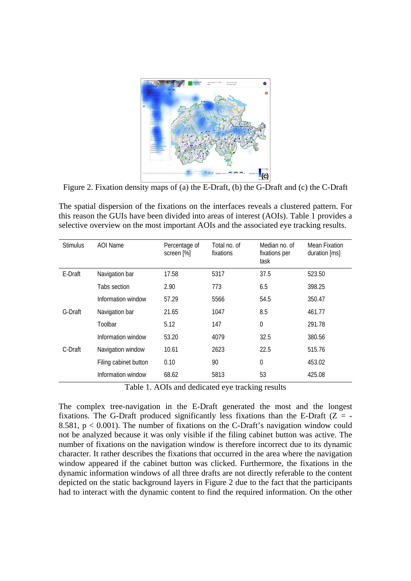

Figure 2. Fixation density maps of (a) the E-Draft, (b) the G-Draft and (c) the C-Draft

The spatial dispersion of the fixations on the interfaces reveals a clustered pattern. For this reason the GUIs have been divided into areas of interest (AOIs). Table 1 provides a selective overview on the most important AOIs and the associated eye tracking results.

| <b>Stimulus</b> | AOI Name              | Percentage of<br>screen [%] | Total no. of<br>fixations | Median no. of<br>fixations per<br>task | Mean Fixation<br>duration [ms] |
|-----------------|-----------------------|-----------------------------|---------------------------|----------------------------------------|--------------------------------|
| E-Draft         | Navigation bar        | 17.58                       | 5317                      | 37.5                                   | 523.50                         |
|                 | Tabs section          | 2.90                        | 773                       | 6.5                                    | 398.25                         |
|                 | Information window    | 57.29                       | 5566                      | 54.5                                   | 350.47                         |
| G-Draft         | Navigation bar        | 21.65                       | 1047                      | 8.5                                    | 461.77                         |
|                 | Toolbar               | 5.12                        | 147                       | $\theta$                               | 291.78                         |
|                 | Information window    | 53.20                       | 4079                      | 32.5                                   | 380.56                         |
| C-Draft         | Navigation window     | 10.61                       | 2623                      | 22.5                                   | 515.76                         |
|                 | Filing cabinet button | 0.10                        | 90                        | $\mathbf 0$                            | 453.02                         |
|                 | Information window    | 68.62                       | 5813                      | 53                                     | 425.08                         |

Table 1. AOIs and dedicated eye tracking results

The complex tree-navigation in the E-Draft generated the most and the longest fixations. The G-Draft produced significantly less fixations than the E-Draft  $(Z = -$ 8.581,  $p < 0.001$ ). The number of fixations on the C-Draft's navigation window could not be analyzed because it was only visible if the filing cabinet button was active. The number of fixations on the navigation window is therefore incorrect due to its dynamic character. It rather describes the fixations that occurred in the area where the navigation window appeared if the cabinet button was clicked. Furthermore, the fixations in the dynamic information windows of all three drafts are not directly referable to the content depicted on the static background layers in Figure 2 due to the fact that the participants had to interact with the dynamic content to find the required information. On the other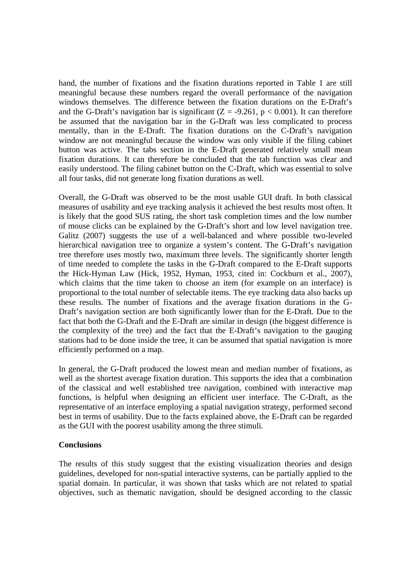hand, the number of fixations and the fixation durations reported in Table 1 are still meaningful because these numbers regard the overall performance of the navigation windows themselves. The difference between the fixation durations on the E-Draft's and the G-Draft's navigation bar is significant  $(Z = -9.261, p < 0.001)$ . It can therefore be assumed that the navigation bar in the G-Draft was less complicated to process mentally, than in the E-Draft. The fixation durations on the C-Draft's navigation window are not meaningful because the window was only visible if the filing cabinet button was active. The tabs section in the E-Draft generated relatively small mean fixation durations. It can therefore be concluded that the tab function was clear and easily understood. The filing cabinet button on the C-Draft, which was essential to solve all four tasks, did not generate long fixation durations as well.

Overall, the G-Draft was observed to be the most usable GUI draft. In both classical measures of usability and eye tracking analysis it achieved the best results most often. It is likely that the good SUS rating, the short task completion times and the low number of mouse clicks can be explained by the G-Draft's short and low level navigation tree. Galitz (2007) suggests the use of a well-balanced and where possible two-leveled hierarchical navigation tree to organize a system's content. The G-Draft's navigation tree therefore uses mostly two, maximum three levels. The significantly shorter length of time needed to complete the tasks in the G-Draft compared to the E-Draft supports the Hick-Hyman Law (Hick, 1952, Hyman, 1953, cited in: Cockburn et al., 2007), which claims that the time taken to choose an item (for example on an interface) is proportional to the total number of selectable items. The eye tracking data also backs up these results. The number of fixations and the average fixation durations in the G-Draft's navigation section are both significantly lower than for the E-Draft. Due to the fact that both the G-Draft and the E-Draft are similar in design (the biggest difference is the complexity of the tree) and the fact that the E-Draft's navigation to the gauging stations had to be done inside the tree, it can be assumed that spatial navigation is more efficiently performed on a map.

In general, the G-Draft produced the lowest mean and median number of fixations, as well as the shortest average fixation duration. This supports the idea that a combination of the classical and well established tree navigation, combined with interactive map functions, is helpful when designing an efficient user interface. The C-Draft, as the representative of an interface employing a spatial navigation strategy, performed second best in terms of usability. Due to the facts explained above, the E-Draft can be regarded as the GUI with the poorest usability among the three stimuli.

## **Conclusions**

The results of this study suggest that the existing visualization theories and design guidelines, developed for non-spatial interactive systems, can be partially applied to the spatial domain. In particular, it was shown that tasks which are not related to spatial objectives, such as thematic navigation, should be designed according to the classic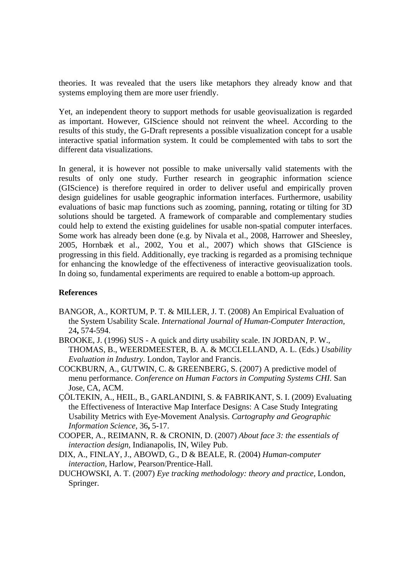theories. It was revealed that the users like metaphors they already know and that systems employing them are more user friendly.

Yet, an independent theory to support methods for usable geovisualization is regarded as important. However, GIScience should not reinvent the wheel. According to the results of this study, the G-Draft represents a possible visualization concept for a usable interactive spatial information system. It could be complemented with tabs to sort the different data visualizations.

In general, it is however not possible to make universally valid statements with the results of only one study. Further research in geographic information science (GIScience) is therefore required in order to deliver useful and empirically proven design guidelines for usable geographic information interfaces. Furthermore, usability evaluations of basic map functions such as zooming, panning, rotating or tilting for 3D solutions should be targeted. A framework of comparable and complementary studies could help to extend the existing guidelines for usable non-spatial computer interfaces. Some work has already been done (e.g. by Nivala et al., 2008, Harrower and Sheesley, 2005, Hornbæk et al., 2002, You et al., 2007) which shows that GIScience is progressing in this field. Additionally, eye tracking is regarded as a promising technique for enhancing the knowledge of the effectiveness of interactive geovisualization tools. In doing so, fundamental experiments are required to enable a bottom-up approach.

## **References**

- BANGOR, A., KORTUM, P. T. & MILLER, J. T. (2008) An Empirical Evaluation of the System Usability Scale. *International Journal of Human-Computer Interaction,* 24**,** 574-594.
- BROOKE, J. (1996) SUS A quick and dirty usability scale. IN JORDAN, P. W., THOMAS, B., WEERDMEESTER, B. A. & MCCLELLAND, A. L. (Eds.) *Usability Evaluation in Industry.* London, Taylor and Francis.
- COCKBURN, A., GUTWIN, C. & GREENBERG, S. (2007) A predictive model of menu performance. *Conference on Human Factors in Computing Systems CHI.* San Jose, CA, ACM.
- ÇÖLTEKIN, A., HEIL, B., GARLANDINI, S. & FABRIKANT, S. I. (2009) Evaluating the Effectiveness of Interactive Map Interface Designs: A Case Study Integrating Usability Metrics with Eye-Movement Analysis. *Cartography and Geographic Information Science,* 36**,** 5-17.
- COOPER, A., REIMANN, R. & CRONIN, D. (2007) *About face 3: the essentials of interaction design,* Indianapolis, IN, Wiley Pub.
- DIX, A., FINLAY, J., ABOWD, G., D & BEALE, R. (2004) *Human-computer interaction,* Harlow, Pearson/Prentice-Hall.
- DUCHOWSKI, A. T. (2007) *Eye tracking methodology: theory and practice,* London, Springer.